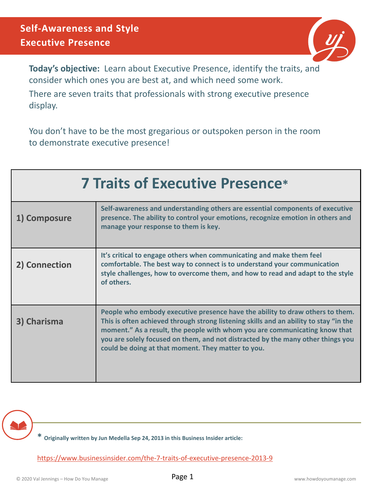

**Today's objective:** Learn about Executive Presence, identify the traits, and consider which ones you are best at, and which need some work.

There are seven traits that professionals with strong executive presence display.

You don't have to be the most gregarious or outspoken person in the room to demonstrate executive presence!

| <b>7 Traits of Executive Presence*</b> |                                                                                                                                                                                                                                                                                                                                                                                               |  |  |  |
|----------------------------------------|-----------------------------------------------------------------------------------------------------------------------------------------------------------------------------------------------------------------------------------------------------------------------------------------------------------------------------------------------------------------------------------------------|--|--|--|
| 1) Composure                           | Self-awareness and understanding others are essential components of executive<br>presence. The ability to control your emotions, recognize emotion in others and<br>manage your response to them is key.                                                                                                                                                                                      |  |  |  |
| 2) Connection                          | It's critical to engage others when communicating and make them feel<br>comfortable. The best way to connect is to understand your communication<br>style challenges, how to overcome them, and how to read and adapt to the style<br>of others.                                                                                                                                              |  |  |  |
| 3) Charisma                            | People who embody executive presence have the ability to draw others to them.<br>This is often achieved through strong listening skills and an ability to stay "in the<br>moment." As a result, the people with whom you are communicating know that<br>you are solely focused on them, and not distracted by the many other things you<br>could be doing at that moment. They matter to you. |  |  |  |

**\* Originally written by Jun Medella Sep 24, 2013 in this Business Insider article:** 

<https://www.businessinsider.com/the-7-traits-of-executive-presence-2013-9>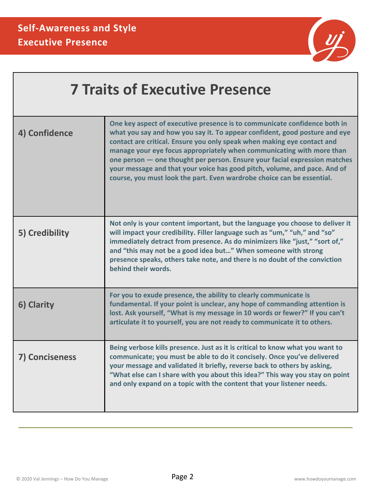

| <b>7 Traits of Executive Presence</b> |                                                                                                                                                                                                                                                                                                                                                                                                                                                                                                                                                  |  |  |  |
|---------------------------------------|--------------------------------------------------------------------------------------------------------------------------------------------------------------------------------------------------------------------------------------------------------------------------------------------------------------------------------------------------------------------------------------------------------------------------------------------------------------------------------------------------------------------------------------------------|--|--|--|
| 4) Confidence                         | One key aspect of executive presence is to communicate confidence both in<br>what you say and how you say it. To appear confident, good posture and eye<br>contact are critical. Ensure you only speak when making eye contact and<br>manage your eye focus appropriately when communicating with more than<br>one person - one thought per person. Ensure your facial expression matches<br>your message and that your voice has good pitch, volume, and pace. And of<br>course, you must look the part. Even wardrobe choice can be essential. |  |  |  |
| 5) Credibility                        | Not only is your content important, but the language you choose to deliver it<br>will impact your credibility. Filler language such as "um," "uh," and "so"<br>immediately detract from presence. As do minimizers like "just," "sort of,"<br>and "this may not be a good idea but" When someone with strong<br>presence speaks, others take note, and there is no doubt of the conviction<br>behind their words.                                                                                                                                |  |  |  |
| 6) Clarity                            | For you to exude presence, the ability to clearly communicate is<br>fundamental. If your point is unclear, any hope of commanding attention is<br>lost. Ask yourself, "What is my message in 10 words or fewer?" If you can't<br>articulate it to yourself, you are not ready to communicate it to others.                                                                                                                                                                                                                                       |  |  |  |
| 7) Conciseness                        | Being verbose kills presence. Just as it is critical to know what you want to<br>communicate; you must be able to do it concisely. Once you've delivered<br>your message and validated it briefly, reverse back to others by asking,<br>"What else can I share with you about this idea?" This way you stay on point<br>and only expand on a topic with the content that your listener needs.                                                                                                                                                    |  |  |  |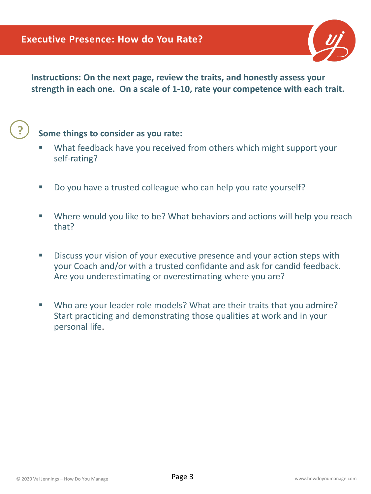

**Instructions: On the next page, review the traits, and honestly assess your strength in each one. On a scale of 1-10, rate your competence with each trait.**

## **?**

## **Some things to consider as you rate:**

- What feedback have you received from others which might support your self-rating?
- Do you have a trusted colleague who can help you rate yourself?
- Where would you like to be? What behaviors and actions will help you reach that?
- Discuss your vision of your executive presence and your action steps with your Coach and/or with a trusted confidante and ask for candid feedback. Are you underestimating or overestimating where you are?
- Who are your leader role models? What are their traits that you admire? Start practicing and demonstrating those qualities at work and in your personal life.